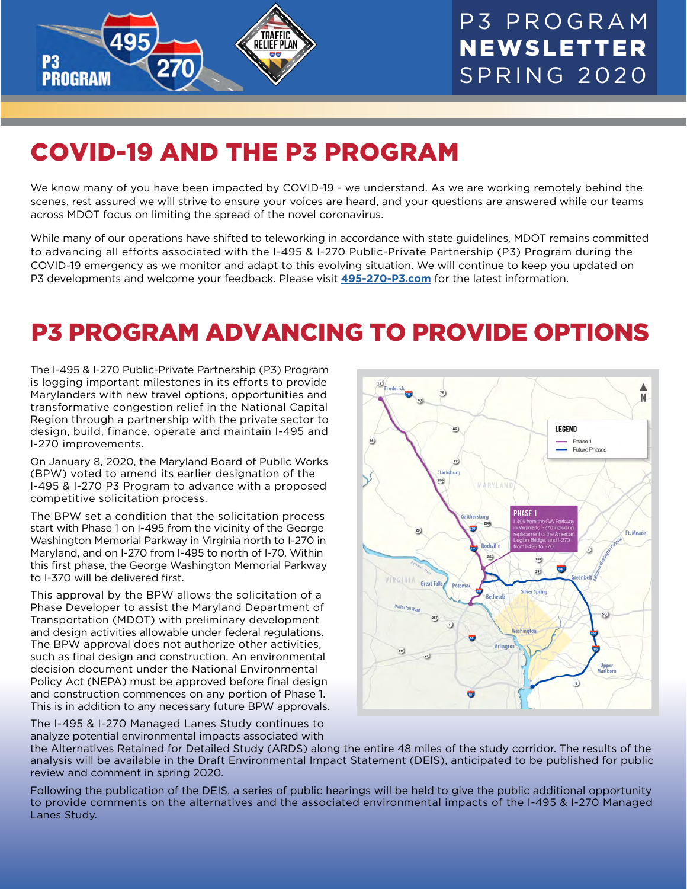

## COVID-19 AND THE P3 PROGRAM

We know many of you have been impacted by COVID-19 - we understand. As we are working remotely behind the scenes, rest assured we will strive to ensure your voices are heard, and your questions are answered while our teams across MDOT focus on limiting the spread of the novel coronavirus.

While many of our operations have shifted to teleworking in accordance with state guidelines, MDOT remains committed to advancing all efforts associated with the I-495 & I-270 Public-Private Partnership (P3) Program during the COVID-19 emergency as we monitor and adapt to this evolving situation. We will continue to keep you updated on P3 developments and welcome your feedback. Please visit **[495-270-P3.com](http://495-270-P3.com)** for the latest information.

### P3 PROGRAM ADVANCING TO PROVIDE OPTIONS

The I-495 & I-270 Public-Private Partnership (P3) Program is logging important milestones in its efforts to provide Marylanders with new travel options, opportunities and transformative congestion relief in the National Capital Region through a partnership with the private sector to design, build, finance, operate and maintain I-495 and I-270 improvements.

On January 8, 2020, the Maryland Board of Public Works (BPW) voted to amend its earlier designation of the I-495 & I-270 P3 Program to advance with a proposed competitive solicitation process.

The BPW set a condition that the solicitation process start with Phase 1 on I-495 from the vicinity of the George Washington Memorial Parkway in Virginia north to I-270 in Maryland, and on I-270 from I-495 to north of I-70. Within this first phase, the George Washington Memorial Parkway to I-370 will be delivered first.

This approval by the BPW allows the solicitation of a Phase Developer to assist the Maryland Department of Transportation (MDOT) with preliminary development and design activities allowable under federal regulations. The BPW approval does not authorize other activities, such as final design and construction. An environmental decision document under the National Environmental Policy Act (NEPA) must be approved before final design and construction commences on any portion of Phase 1. This is in addition to any necessary future BPW approvals.

The I-495 & I-270 Managed Lanes Study continues to analyze potential environmental impacts associated with



the Alternatives Retained for Detailed Study (ARDS) along the entire 48 miles of the study corridor. The results of the analysis will be available in the Draft Environmental Impact Statement (DEIS), anticipated to be published for public review and comment in spring 2020.

Following the publication of the DEIS, a series of public hearings will be held to give the public additional opportunity to provide comments on the alternatives and the associated environmental impacts of the I-495 & I-270 Managed Lanes Study.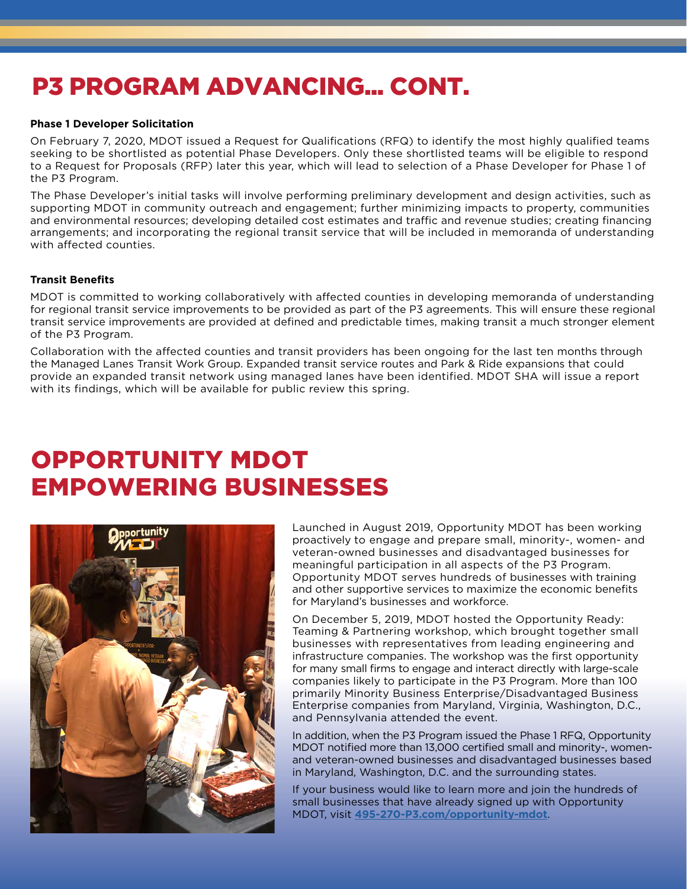### P3 PROGRAM ADVANCING... CONT.

#### **Phase 1 Developer Solicitation**

On February 7, 2020, MDOT issued a Request for Qualifications (RFQ) to identify the most highly qualified teams seeking to be shortlisted as potential Phase Developers. Only these shortlisted teams will be eligible to respond to a Request for Proposals (RFP) later this year, which will lead to selection of a Phase Developer for Phase 1 of the P3 Program.

The Phase Developer's initial tasks will involve performing preliminary development and design activities, such as supporting MDOT in community outreach and engagement; further minimizing impacts to property, communities and environmental resources; developing detailed cost estimates and traffic and revenue studies; creating financing arrangements; and incorporating the regional transit service that will be included in memoranda of understanding with affected counties.

#### **Transit Benefits**

MDOT is committed to working collaboratively with affected counties in developing memoranda of understanding for regional transit service improvements to be provided as part of the P3 agreements. This will ensure these regional transit service improvements are provided at defined and predictable times, making transit a much stronger element of the P3 Program.

Collaboration with the affected counties and transit providers has been ongoing for the last ten months through the Managed Lanes Transit Work Group. Expanded transit service routes and Park & Ride expansions that could provide an expanded transit network using managed lanes have been identified. MDOT SHA will issue a report with its findings, which will be available for public review this spring.

### OPPORTUNITY MDOT EMPOWERING BUSINESSES



Launched in August 2019, Opportunity MDOT has been working proactively to engage and prepare small, minority-, women- and veteran-owned businesses and disadvantaged businesses for meaningful participation in all aspects of the P3 Program. Opportunity MDOT serves hundreds of businesses with training and other supportive services to maximize the economic benefits for Maryland's businesses and workforce.

On December 5, 2019, MDOT hosted the Opportunity Ready: Teaming & Partnering workshop, which brought together small businesses with representatives from leading engineering and infrastructure companies. The workshop was the first opportunity for many small firms to engage and interact directly with large-scale companies likely to participate in the P3 Program. More than 100 primarily Minority Business Enterprise/Disadvantaged Business Enterprise companies from Maryland, Virginia, Washington, D.C., and Pennsylvania attended the event.

In addition, when the P3 Program issued the Phase 1 RFQ, Opportunity MDOT notified more than 13,000 certified small and minority-, womenand veteran-owned businesses and disadvantaged businesses based in Maryland, Washington, D.C. and the surrounding states.

If your business would like to learn more and join the hundreds of small businesses that have already signed up with Opportunity MDOT, visit **[495-270-P3.com/opportunity-mdot](http://495-270-P3.com/opportunity-mdot)**.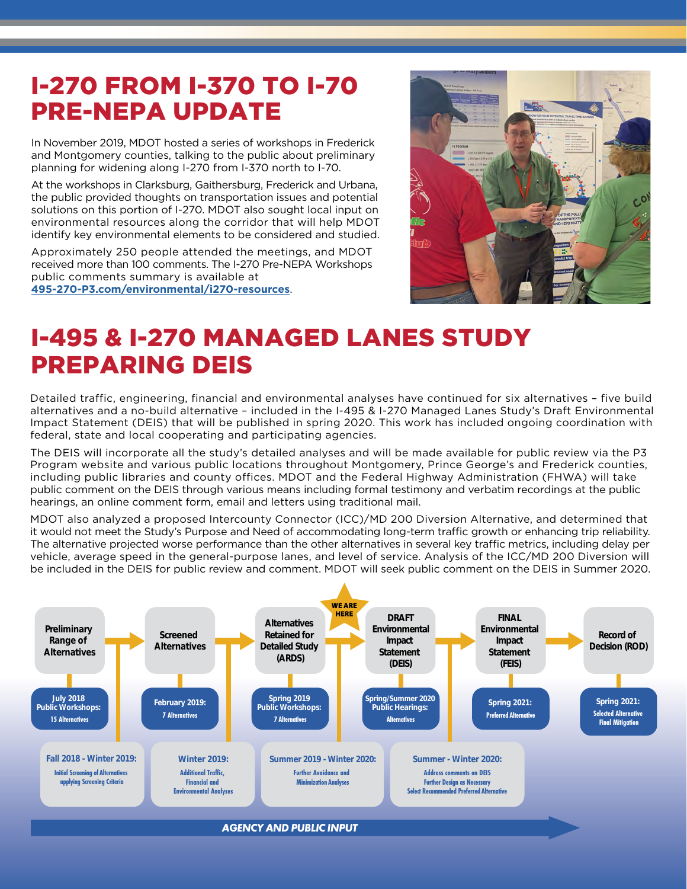### I-270 FROM I-370 TO I-70 PRE-NEPA UPDATE

In November 2019, MDOT hosted a series of workshops in Frederick and Montgomery counties, talking to the public about preliminary planning for widening along I-270 from I-370 north to I-70.

At the workshops in Clarksburg, Gaithersburg, Frederick and Urbana, the public provided thoughts on transportation issues and potential solutions on this portion of I-270. MDOT also sought local input on environmental resources along the corridor that will help MDOT identify key environmental elements to be considered and studied.

Approximately 250 people attended the meetings, and MDOT received more than 100 comments. The I-270 Pre-NEPA Workshops public comments summary is available at

**[495-270-P3.com/environmental/i270-resources](http://495-270-P3.com/environmental/i270-resources)**.



### I-495 & I-270 MANAGED LANES STUDY PREPARING DEIS

Detailed traffic, engineering, financial and environmental analyses have continued for six alternatives – five build alternatives and a no-build alternative – included in the I-495 & I-270 Managed Lanes Study's Draft Environmental Impact Statement (DEIS) that will be published in spring 2020. This work has included ongoing coordination with federal, state and local cooperating and participating agencies.

The DEIS will incorporate all the study's detailed analyses and will be made available for public review via the P3 Program website and various public locations throughout Montgomery, Prince George's and Frederick counties, including public libraries and county offices. MDOT and the Federal Highway Administration (FHWA) will take public comment on the DEIS through various means including formal testimony and verbatim recordings at the public hearings, an online comment form, email and letters using traditional mail.

MDOT also analyzed a proposed Intercounty Connector (ICC)/MD 200 Diversion Alternative, and determined that it would not meet the Study's Purpose and Need of accommodating long-term traffic growth or enhancing trip reliability. The alternative projected worse performance than the other alternatives in several key traffic metrics, including delay per vehicle, average speed in the general-purpose lanes, and level of service. Analysis of the ICC/MD 200 Diversion will be included in the DEIS for public review and comment. MDOT will seek public comment on the DEIS in Summer 2020.